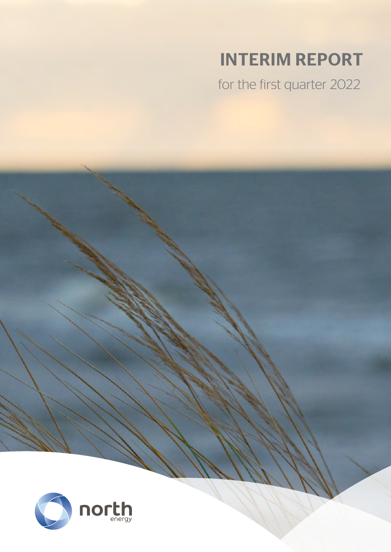# INTERIM REPORT

for the first quarter 2022



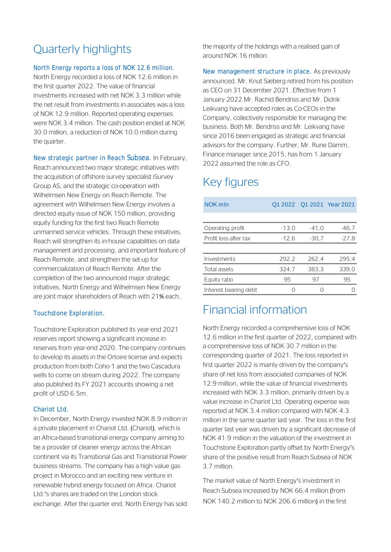# Quarterly highlights

#### North Energy reports a loss of NOK 12.6 million.

North Energy recorded a loss of NOK 12.6 million in the first quarter 2022. The value of financial investments increased with net NOK 3.3 million while the net result from investments in associates was a loss of NOK 12.9 million. Reported operating expenses were NOK 3.4 million. The cash position ended at NOK 30.0 million, a reduction of NOK 10.0 million during the quarter.

New strategic partner in Reach Subsea. In February,

Reach announced two major strategic initiatives with the acquisition of offshore survey specialist iSurvey Group AS, and the strategic co-operation with Wilhelmsen New Energy on Reach Remote. The agreement with Wilhelmsen New Energy involves a directed equity issue of NOK 150 million, providing equity funding for the first two Reach Remote unmanned service vehicles. Through these initiatives, Reach will strengthen its in-house capabilities on data management and processing, and important feature of Reach Remote, and strengthen the set-up for commercialization of Reach Remote. After the completion of the two announced major strategic initiatives, North Energy and Wilhelmsen New Energy are joint major shareholders of Reach with 21% each.

#### Touchstone Exploration.

Touchstone Exploration published its year-end 2021 reserves report showing a significant increase in reserves from year-end 2020. The company continues to develop its assets in the Ortoire license and expects production from both Coho-1 and the two Cascadura wells to come on stream during 2022. The company also published its FY 2021 accounts showing a net profit of USD 6.5m.

#### Chariot Ltd.

In December, North Energy invested NOK 8.9 million in a private placement in Chariot Ltd. (Chariot), which is an Africa-based transitional energy company aiming to be a provider of cleaner energy across the African continent via its Transitional Gas and Transitional Power business streams. The company has a high value gas project in Morocco and an exciting new venture in renewable hybrid energy focused on Africa. Chariot Ltd.'s shares are traded on the London stock exchange. After the quarter end, North Energy has sold

the majority of the holdings with a realised gain of around NOK 16 million.

New management structure in place. As previously announced, Mr. Knut Sæberg retired from his position as CEO on 31 December 2021. Effective from 1 January 2022 Mr. Rachid Bendriss and Mr. Didrik Leikvang have accepted roles as Co-CEOs in the Company, collectively responsible for managing the business. Both Mr. Bendriss and Mr. Leikvang have since 2016 been engaged as strategic and financial advisors for the company. Further, Mr. Rune Damm, Finance manager since 2015, has from 1 January 2022 assumed the role as CFO.

# Key figures

| NOK mln               |         |         | Q1 2022 Q1 2021 Year 2021 |
|-----------------------|---------|---------|---------------------------|
|                       |         |         |                           |
| Operating profit      | $-13.0$ | $-41.0$ | $-46,7$                   |
| Profit loss after tax | $-12.6$ | $-30,7$ | $-27.8$                   |
|                       |         |         |                           |
| Investments           | 292.2   | 262.4   | 295.4                     |
| Total assets          | 324.7   | 383.3   | 339.0                     |
| Equity ratio          | 95      | 97      | 95                        |
| Interest bearing debt | ()      |         |                           |

# Financial information

North Energy recorded a comprehensive loss of NOK 12.6 million in the first quarter of 2022, compared with a comprehensive loss of NOK 30.7 million in the corresponding quarter of 2021. The loss reported in first quarter 2022 is mainly driven by the company's share of net loss from associated companies of NOK 12.9 million, while the value of financial investments increased with NOK 3.3 million, primarily driven by a value increase in Chariot Ltd. Operating expense was reported at NOK 3.4 million compared with NOK 4.3 million in the same quarter last year. The loss in the first quarter last year was driven by a significant decrease of NOK 41.9 million in the valuation of the investment in Touchstone Exploration partly offset by North Energy's share of the positive result from Reach Subsea of NOK 3.7 million.

The market value of North Energy's investment in Reach Subsea increased by NOK 66.4 million (from NOK 140.2 million to NOK 206.6 million) in the first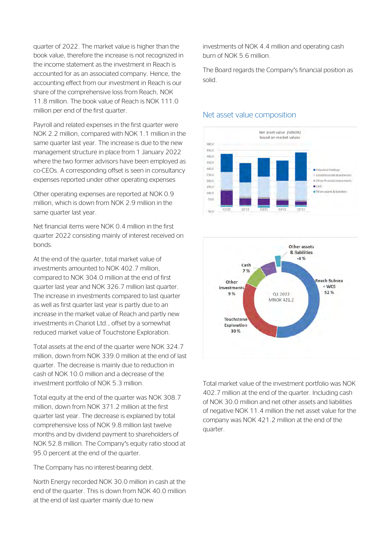quarter of 2022. The market value is higher than the book value, therefore the increase is not recognized in the income statement as the investment in Reach is accounted for as an associated company. Hence, the accounting effect from our investment in Reach is our share of the comprehensive loss from Reach, NOK 11.8 million. The book value of Reach is NOK 111.0 million per end of the first quarter.

Payroll and related expenses in the first quarter were NOK 2.2 million, compared with NOK 1.1 million in the same quarter last year. The increase is due to the new management structure in place from 1 January 2022 where the two former advisors have been employed as co-CEOs. A corresponding offset is seen in consultancy expenses reported under other operating expenses

Other operating expenses are reported at NOK 0.9 million, which is down from NOK 2.9 million in the same quarter last year.

Net financial items were NOK 0.4 million in the first quarter 2022 consisting mainly of interest received on bonds.

At the end of the quarter, total market value of investments amounted to NOK 402.7 million, compared to NOK 304.0 million at the end of first quarter last year and NOK 326.7 million last quarter. The increase in investments compared to last quarter as well as first quarter last year is partly due to an increase in the market value of Reach and partly new investments in Chariot Ltd., offset by a somewhat reduced market value of Touchstone Exploration.

Total assets at the end of the quarter were NOK 324.7 million, down from NOK 339.0 million at the end of last quarter. The decrease is mainly due to reduction in cash of NOK 10.0 million and a decrease of the investment portfolio of NOK 5.3 million.

Total equity at the end of the quarter was NOK 308.7 million, down from NOK 371.2 million at the first quarter last year. The decrease is explained by total comprehensive loss of NOK 9.8 million last twelve months and by dividend payment to shareholders of NOK 52.8 million. The Company's equity ratio stood at 95.0 percent at the end of the quarter.

The Company has no interest-bearing debt.

North Energy recorded NOK 30.0 million in cash at the end of the quarter. This is down from NOK 40.0 million at the end of last quarter mainly due to new

investments of NOK 4.4 million and operating cash burn of NOK 5.6 million.

The Board regards the Company's financial position as solid.

#### Net asset value composition





Total market value of the investment portfolio was NOK 402.7 million at the end of the quarter. Including cash of NOK 30.0 million and net other assets and liabilities of negative NOK 11.4 million the net asset value for the company was NOK 421.2 million at the end of the quarter.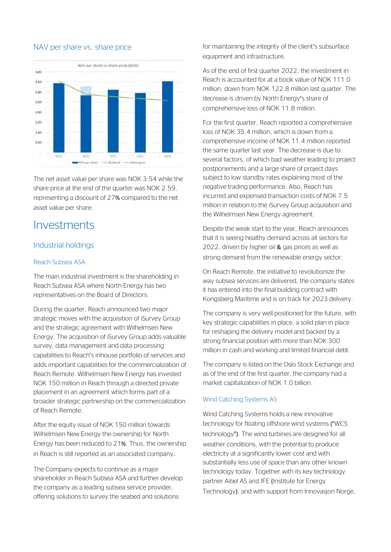#### NAV per share vs. share price



The net asset value per share was NOK 3.54 while the share price at the end of the quarter was NOK 2.59, representing a discount of 27% compared to the net asset value per share.

# **Investments**

#### Industrial holdings

#### Reach Subsea ASA

The main industrial investment is the shareholding in Reach Subsea ASA where North Energy has two representatives on the Board of Directors.

During the quarter, Reach announced two major strategic moves with the acquisition of iSurvey Group and the strategic agreement with Wilhelmsen New Energy. The acquisition of iSurvey Group adds valuable survey, data management and data processing capabilities to Reach's inhouse portfolio of services and adds important capabilities for the commercialization of Reach Remote. Wilhelmsen New Energy has invested NOK 150 million in Reach through a directed private placement in an agreement which forms part of a broader strategic partnership on the commercialization of Reach Remote.

After the equity issue of NOK 150 million towards Wilhelmsen New Energy the ownership for North Energy has been reduced to 21%. Thus, the ownership in Reach is still reported as an associated company.

The Company expects to continue as a major shareholder in Reach Subsea ASA and further develop the company as a leading subsea service provider, offering solutions to survey the seabed and solutions

for maintaining the integrity of the client's subsurface equipment and infrastructure.

As of the end of first quarter 2022, the investment in Reach is accounted for at a book value of NOK 111.0 million, down from NOK 122.8 million last quarter. The decrease is driven by North Energy's share of comprehensive loss of NOK 11.8 million.

For the first quarter, Reach reported a comprehensive loss of NOK 35.4 million, which is down from a comprehensive income of NOK 11.4 million reported the same quarter last year. The decrease is due to several factors, of which bad weather leading to project postponements and a large share of project days subject to low standby rates explaining most of the negative trading performance. Also, Reach has incurred and expensed transaction costs of NOK 7.5 million in relation to the iSurvey Group acquisition and the Wilhelmsen New Energy agreement.

Despite the weak start to the year, Reach announces that it is seeing healthy demand across all sectors for 2022, driven by higher oil  $\&$  gas prices as well as strong demand from the renewable energy sector.

On Reach Remote, the initiative to revolutionize the way subsea services are delivered, the company states it has entered into the final building contract with Kongsberg Maritime and is on track for 2023 delivery.

The company is very well positioned for the future, with key strategic capabilities in place, a solid plan in place for reshaping the delivery model and backed by a strong financial position with more than NOK 300 million in cash and working and limited financial debt.

The company is listed on the Oslo Stock Exchange and as of the end of the first quarter, the company had a market capitalization of NOK 1.0 billion.

#### Wind Catching Systems AS

Wind Catching Systems holds a new innovative technology for floating offshore wind systems ("WCS technology"). The wind turbines are designed for all weather conditions, with the potential to produce electricity at a significantly lower cost and with substantially less use of space than any other known technology today. Together with its key technology partner Aibel AS and IFE (Institute for Energy Technology), and with support from Innovasjon Norge,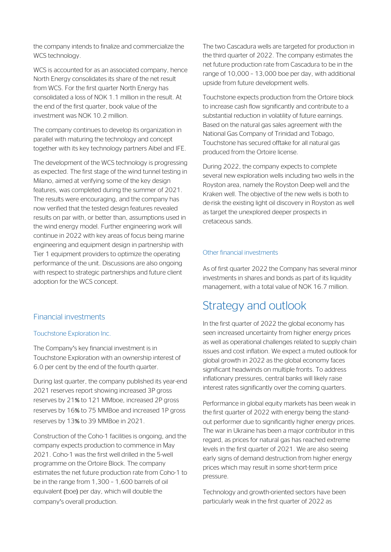the company intends to finalize and commercialize the WCS technology.

WCS is accounted for as an associated company, hence North Energy consolidates its share of the net result from WCS. For the first quarter North Energy has consolidated a loss of NOK 1.1 million in the result. At the end of the first quarter, book value of the investment was NOK 10.2 million.

The company continues to develop its organization in parallel with maturing the technology and concept together with its key technology partners Aibel and IFE.

The development of the WCS technology is progressing as expected. The first stage of the wind tunnel testing in Milano, aimed at verifying some of the key design features, was completed during the summer of 2021. The results were encouraging, and the company has now verified that the tested design features revealed results on par with, or better than, assumptions used in the wind energy model. Further engineering work will continue in 2022 with key areas of focus being marine engineering and equipment design in partnership with Tier 1 equipment providers to optimize the operating performance of the unit. Discussions are also ongoing with respect to strategic partnerships and future client adoption for the WCS concept.

### Financial investments

#### Touchstone Exploration Inc.

The Company's key financial investment is in Touchstone Exploration with an ownership interest of 6.0 per cent by the end of the fourth quarter.

During last quarter, the company published its year-end 2021 reserves report showing increased 3P gross reserves by 21% to 121 MMboe, increased 2P gross reserves by 16% to 75 MMBoe and increased 1P gross reserves by 13% to 39 MMBoe in 2021.

Construction of the Coho-1 facilities is ongoing, and the company expects production to commence in May 2021. Coho-1 was the first well drilled in the 5-well programme on the Ortoire Block. The company estimates the net future production rate from Coho-1 to be in the range from 1,300 – 1,600 barrels of oil equivalent (boe) per day, which will double the company's overall production.

The two Cascadura wells are targeted for production in the third quarter of 2022. The company estimates the net future production rate from Cascadura to be in the range of 10,000 – 13,000 boe per day, with additional upside from future development wells.

Touchstone expects production from the Ortoire block to increase cash flow significantly and contribute to a substantial reduction in volatility of future earnings. Based on the natural gas sales agreement with the National Gas Company of Trinidad and Tobago, Touchstone has secured offtake for all natural gas produced from the Ortoire license.

During 2022, the company expects to complete several new exploration wells including two wells in the Royston area, namely the Royston Deep well and the Kraken well. The objective of the new wells is both to de-risk the existing light oil discovery in Royston as well as target the unexplored deeper prospects in cretaceous sands.

#### Other financial investments

As of first quarter 2022 the Company has several minor investments in shares and bonds as part of its liquidity management, with a total value of NOK 16.7 million.

# Strategy and outlook

In the first quarter of 2022 the global economy has seen increased uncertainty from higher energy prices as well as operational challenges related to supply chain issues and cost inflation. We expect a muted outlook for global growth in 2022 as the global economy faces significant headwinds on multiple fronts. To address inflationary pressures, central banks will likely raise interest rates significantly over the coming quarters.

Performance in global equity markets has been weak in the first quarter of 2022 with energy being the standout performer due to significantly higher energy prices. The war in Ukraine has been a major contributor in this regard, as prices for natural gas has reached extreme levels in the first quarter of 2021. We are also seeing early signs of demand destruction from higher energy prices which may result in some short-term price pressure.

Technology and growth-oriented sectors have been particularly weak in the first quarter of 2022 as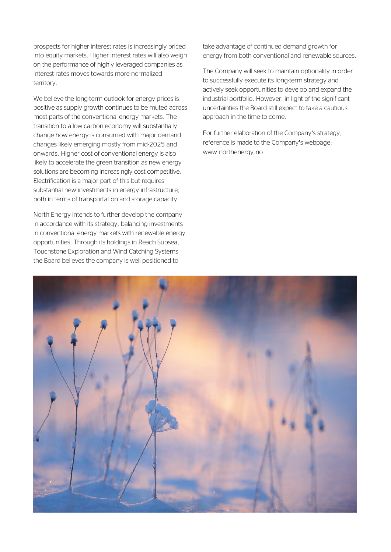prospects for higher interest rates is increasingly priced into equity markets. Higher interest rates will also weigh on the performance of highly leveraged companies as interest rates moves towards more normalized territory.

We believe the long-term outlook for energy prices is positive as supply growth continues to be muted across most parts of the conventional energy markets. The transition to a low carbon economy will substantially change how energy is consumed with major demand changes likely emerging mostly from mid-2025 and onwards. Higher cost of conventional energy is also likely to accelerate the green transition as new energy solutions are becoming increasingly cost competitive. Electrification is a major part of this but requires substantial new investments in energy infrastructure, both in terms of transportation and storage capacity.

North Energy intends to further develop the company in accordance with its strategy, balancing investments in conventional energy markets with renewable energy opportunities. Through its holdings in Reach Subsea, Touchstone Exploration and Wind Catching Systems the Board believes the company is well positioned to

take advantage of continued demand growth for energy from both conventional and renewable sources.

The Company will seek to maintain optionality in order to successfully execute its long-term strategy and actively seek opportunities to develop and expand the industrial portfolio. However, in light of the significant uncertainties the Board still expect to take a cautious approach in the time to come.

For further elaboration of the Company's strategy, reference is made to the Company's webpage: www.northenergy.no

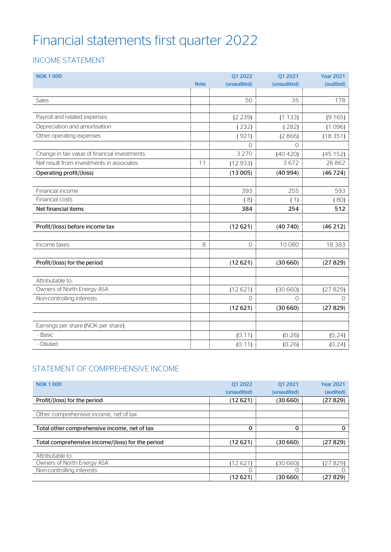# Financial statements first quarter 2022

# INCOME STATEMENT

| <b>NOK1000</b>                                |             | Q1 2022     | Q1 2021     | <b>Year 2021</b> |
|-----------------------------------------------|-------------|-------------|-------------|------------------|
|                                               | <b>Note</b> | (unaudited) | (unaudited) | (audited)        |
|                                               |             |             |             |                  |
| Sales                                         |             | 50          | 35          | 178              |
|                                               |             |             |             |                  |
| Payroll and related expenses                  |             | (2 239)     | (1133)      | (9165)           |
| Depreciation and amortisation                 |             | (232)       | (282)       | (1096)           |
| Other operating expenses                      |             | (921)       | (2866)      | (18351)          |
|                                               |             | $\bigcap$   | $\bigcap$   |                  |
| Change in fair value of financial investments |             | 3 2 7 0     | (40 420)    | (45152)          |
| Net result from investments in associates     | 11          | (12933)     | 3672        | 26862            |
| Operating profit/(loss)                       |             | (13005)     | (40994)     | (46724)          |
|                                               |             |             |             |                  |
| Financial income                              |             | 393         | 255         | 593              |
| Financial costs                               |             | (8)         | (1)         | (80)             |
| Net financial items                           |             | 384         | 254         | 512              |
|                                               |             |             |             |                  |
| Profit/(loss) before income tax               |             | (12621)     | (40740)     | (46212)          |
|                                               |             |             |             |                  |
| Income taxes                                  | 8           | $\circ$     | 10080       | 18 3 8 3         |
|                                               |             |             |             |                  |
| Profit/(loss) for the period                  |             | (12621)     | (30660)     | (27829)          |
|                                               |             |             |             |                  |
| Attributable to:                              |             |             |             |                  |
| Owners of North Energy ASA                    |             | (12621)     | (30660)     | (27829)          |
| Non-controlling interests                     |             | $\Omega$    | $\Omega$    | $\Omega$         |
|                                               |             | (12621)     | (30660)     | (27829)          |
|                                               |             |             |             |                  |
| Earnings per share (NOK per share)            |             |             |             |                  |
| - Basic                                       |             | (0, 11)     | (0, 26)     | (0, 24)          |
| - Diluted                                     |             | (0, 11)     | (0, 26)     | (0, 24)          |

# STATEMENT OF COMPREHENSIVE INCOME

| <b>NOK 1000</b>                                  | 01 2022     | 01 2021     | <b>Year 2021</b> |
|--------------------------------------------------|-------------|-------------|------------------|
|                                                  | (unaudited) | (unaudited) | (audited)        |
| Profit/(loss) for the period                     | (12 621)    | (30 660)    | (27 829)         |
|                                                  |             |             |                  |
| Other comprehensive income, net of tax           |             |             |                  |
|                                                  |             |             |                  |
| Total other comprehensive income, net of tax     | $\Omega$    | $\mathbf 0$ | 0                |
|                                                  |             |             |                  |
| Total comprehensive income/(loss) for the period | (12621)     | (30 660)    | (27 829)         |
|                                                  |             |             |                  |
| Attributable to:                                 |             |             |                  |
| Owners of North Energy ASA                       | (12621)     | (30 660)    | (27 829)         |
| Non-controlling interests                        |             |             |                  |
|                                                  | (12 621)    | (30 660)    | (27 829)         |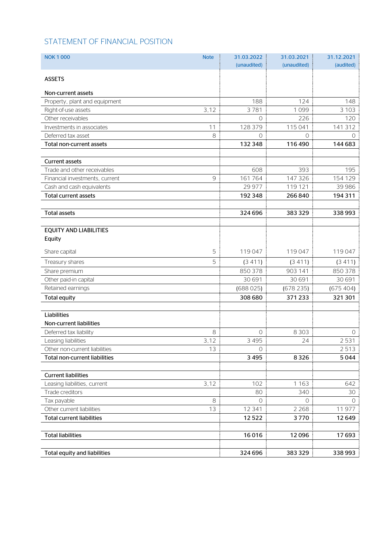# STATEMENT OF FINANCIAL POSITION

| <b>NOK 1000</b>                      | <b>Note</b>    | 31.03.2022     | 31.03.2021  | 31.12.2021 |
|--------------------------------------|----------------|----------------|-------------|------------|
|                                      |                | (unaudited)    | (unaudited) | (audited)  |
| <b>ASSETS</b>                        |                |                |             |            |
|                                      |                |                |             |            |
| Non-current assets                   |                |                |             |            |
| Property, plant and equipment        |                | 188            | 124         | 148        |
| Right-of-use assets                  | 3,12           | 3781           | 1099        | 3 1 0 3    |
| Other receivables                    |                | $\overline{0}$ | 226         | 120        |
| Investments in associates            | 11             | 128 379        | 115 041     | 141 312    |
| Deferred tax asset                   | 8              | 0              | $\Omega$    | 0          |
| Total non-current assets             |                | 132 348        | 116 490     | 144 683    |
| <b>Current assets</b>                |                |                |             |            |
| Trade and other receivables          |                | 608            | 393         | 195        |
| Financial investments, current       | $\overline{9}$ | 161764         | 147 326     | 154 129    |
| Cash and cash equivalents            |                | 29 977         | 119 121     | 39 986     |
| <b>Total current assets</b>          |                | 192 348        | 266840      | 194 311    |
|                                      |                |                |             |            |
| <b>Total assets</b>                  |                | 324 696        | 383329      | 338993     |
|                                      |                |                |             |            |
| <b>EQUITY AND LIABILITIES</b>        |                |                |             |            |
| Equity                               |                |                |             |            |
| Share capital                        | 5              | 119047         | 119047      | 119047     |
| Treasury shares                      | 5              | (3411)         | (3411)      | (3411)     |
| Share premium                        |                | 850 378        | 903 141     | 850 378    |
| Other paid-in capital                |                | 30 691         | 30 691      | 30 691     |
| Retained earnings                    |                | (688025)       | (678235)    | (675404)   |
| <b>Total equity</b>                  |                | 308 680        | 371233      | 321 301    |
|                                      |                |                |             |            |
| Liabilities                          |                |                |             |            |
| Non-current liabilities              |                |                |             |            |
| Deferred tax liability               | 8              | 0              | 8 3 0 3     | 0          |
| Leasing liabilities                  | 3,12           | 3 4 9 5        | 24          | 2531       |
| Other non-current liabilities        | 13             | $\circ$        |             | 2513       |
| <b>Total non-current liabilities</b> |                | 3 4 9 5        | 8326        | 5044       |
|                                      |                |                |             |            |
| <b>Current liabilities</b>           |                |                |             |            |
| Leasing liabilities, current         | 3,12           | 102            | 1 1 6 3     | 642        |
| Trade creditors                      |                | 80             | 340         | 30         |
| Tax payable                          | 8              | $\circ$        | $\Omega$    | $\Omega$   |
| Other current liabilities            | 13             | 12 341         | 2 2 6 8     | 11977      |
| <b>Total current liabilities</b>     |                | 12522          | 3770        | 12649      |
|                                      |                |                |             |            |
| <b>Total liabilities</b>             |                | 16016          | 12096       | 17693      |
|                                      |                |                |             |            |
| Total equity and liabilities         |                | 324 696        | 383329      | 338993     |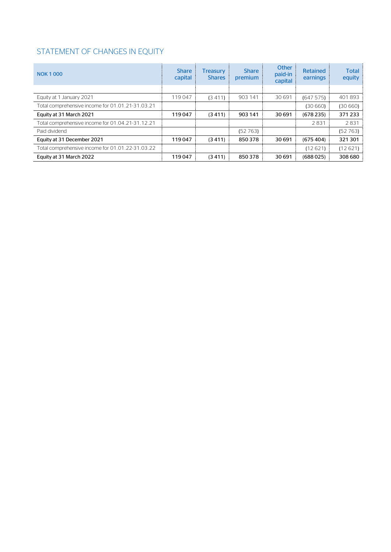# STATEMENT OF CHANGES IN EQUITY

| <b>NOK 1000</b>                                  | <b>Share</b><br>capital | <b>Treasury</b><br><b>Shares</b> | <b>Share</b><br>premium | Other<br>paid-in<br>capital | <b>Retained</b><br>earnings | <b>Total</b><br>equity |
|--------------------------------------------------|-------------------------|----------------------------------|-------------------------|-----------------------------|-----------------------------|------------------------|
|                                                  |                         |                                  |                         |                             |                             |                        |
| Equity at 1 January 2021                         | 119047                  | (3411)                           | 903 141                 | 30 691                      | (647575)                    | 401893                 |
| Total comprehensive income for 01.01.21-31.03.21 |                         |                                  |                         |                             | (30660)                     | (30660)                |
| Equity at 31 March 2021                          | 119047                  | (3411)                           | 903 141                 | 30 691                      | (678235)                    | 371 233                |
| Total comprehensive income for 01.04.21-31.12.21 |                         |                                  |                         |                             | 2831                        | 2831                   |
| Paid dividend                                    |                         |                                  | (52763)                 |                             |                             | (52763)                |
| Equity at 31 December 2021                       | 119047                  | (3411)                           | 850378                  | 30 691                      | (675404)                    | 321 301                |
| Total comprehensive income for 01.01.22-31.03.22 |                         |                                  |                         |                             | (12621)                     | (12621)                |
| Equity at 31 March 2022                          | 119047                  | (3411)                           | 850378                  | 30 691                      | (688025)                    | 308 680                |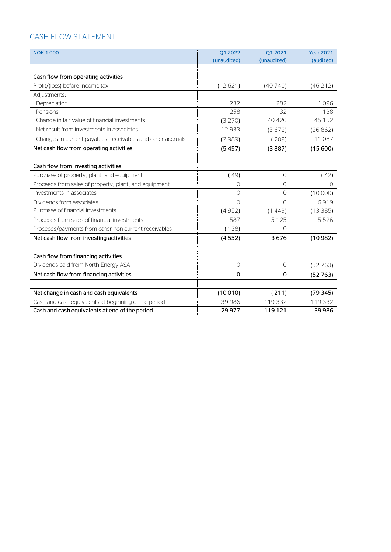# CASH FLOW STATEMENT

| <b>NOK 1000</b>                                             | 01 20 22       | 01 2021        | <b>Year 2021</b> |
|-------------------------------------------------------------|----------------|----------------|------------------|
|                                                             | (unaudited)    | (unaudited)    | (audited)        |
|                                                             |                |                |                  |
| Cash flow from operating activities                         |                |                |                  |
| Profit/(loss) before income tax                             | (12621)        | (40740)        | (46212)          |
| Adjustments:                                                |                |                |                  |
| Depreciation                                                | 232            | 282            | 1096             |
| Pensions                                                    | 258            | 32             | 138              |
| Change in fair value of financial investments               | (3 270)        | 40 4 20        | 45 152           |
| Net result from investments in associates                   | 12933          | (3672)         | (26862)          |
| Changes in current payables, receivables and other accruals | (2989)         | (209)          | 11 087           |
| Net cash flow from operating activities                     | (5457)         | (3887)         | (15600)          |
|                                                             |                |                |                  |
| Cash flow from investing activities                         |                |                |                  |
| Purchase of property, plant, and equipment                  | (49)           | $\circ$        | (42)             |
| Proceeds from sales of property, plant, and equipment       | $\overline{O}$ | $\circ$        | $\Omega$         |
| Investments in associates                                   | $\Omega$       | $\overline{O}$ | (10000)          |
| Dividends from associates                                   | $\bigcap$      | $\bigcap$      | 6919             |
| Purchase of financial investments                           | (4952)         | (1449)         | (13385)          |
| Proceeds from sales of financial investments                | 587            | 5 1 2 5        | 5526             |
| Proceeds/payments from other non-current receivables        | (138)          | $\Omega$       |                  |
| Net cash flow from investing activities                     | (4552)         | 3676           | (10982)          |
|                                                             |                |                |                  |
| Cash flow from financing activities                         |                |                |                  |
| Dividends paid from North Energy ASA                        | $\Omega$       | $\Omega$       | (52763)          |
| Net cash flow from financing activities                     | 0              | 0              | (52763)          |
|                                                             |                |                |                  |
| Net change in cash and cash equivalents                     | (10010)        | (211)          | (79345)          |
| Cash and cash equivalents at beginning of the period        | 39 986         | 119332         | 119 332          |
| Cash and cash equivalents at end of the period              | 29 9 7 7       | 119121         | 39 986           |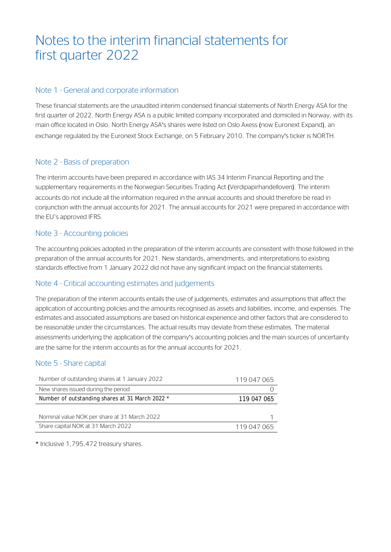# Notes to the interim financial statements for first quarter 2022

## Note 1 - General and corporate information

These financial statements are the unaudited interim condensed financial statements of North Energy ASA for the first quarter of 2022. North Energy ASA is a public limited company incorporated and domiciled in Norway, with its main office located in Oslo. North Energy ASA's shares were listed on Oslo Axess (now Euronext Expand), an exchange regulated by the Euronext Stock Exchange, on 5 February 2010. The company's ticker is NORTH.

# Note 2 - Basis of preparation

The interim accounts have been prepared in accordance with IAS 34 Interim Financial Reporting and the supplementary requirements in the Norwegian Securities Trading Act (Verdipapirhandelloven). The interim accounts do not include all the information required in the annual accounts and should therefore be read in conjunction with the annual accounts for 2021. The annual accounts for 2021 were prepared in accordance with the EU`s approved IFRS.

# Note 3 - Accounting policies

The accounting policies adopted in the preparation of the interim accounts are consistent with those followed in the preparation of the annual accounts for 2021. New standards, amendments, and interpretations to existing standards effective from 1 January 2022 did not have any significant impact on the financial statements.

# Note 4 - Critical accounting estimates and judgements

The preparation of the interim accounts entails the use of judgements, estimates and assumptions that affect the application of accounting policies and the amounts recognised as assets and liabilities, income, and expenses. The estimates and associated assumptions are based on historical experience and other factors that are considered to be reasonable under the circumstances. The actual results may deviate from these estimates. The material assessments underlying the application of the company's accounting policies and the main sources of uncertainty are the same for the interim accounts as for the annual accounts for 2021.

# Note 5 - Share capital

| Number of outstanding shares at 1 January 2022  | 119 047 065 |
|-------------------------------------------------|-------------|
| New shares issued during the period             |             |
| Number of outstanding shares at 31 March 2022 * | 119 047 065 |
|                                                 |             |
| Nominal value NOK per share at 31 March 2022    |             |
| Share capital NOK at 31 March 2022              | 119 047 065 |

\* Inclusive 1,795,472 treasury shares.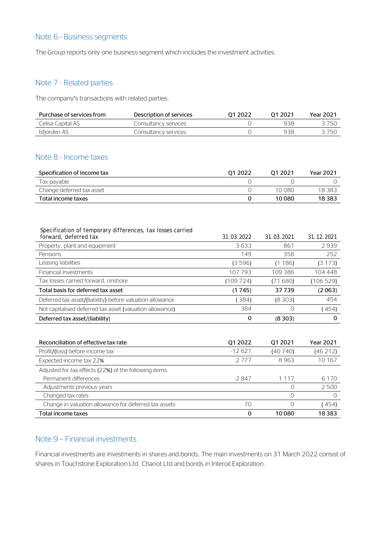#### Note 6 - Business segments

The Group reports only one business segment which includes the investment activities.

# Note 7 - Related parties

The company's transactions with related parties:

| Purchase of services from | Description of services | 01 2022 | 01 2021 | Year 2021 |
|---------------------------|-------------------------|---------|---------|-----------|
| Celisa Capital AS         | Consultancv services    |         | 938     | 3 750     |
| Isfjorden AS              | Consultancy services    |         | 938     | 3 750     |

## Note 8 - Income taxes

| Specification of income tax | 01 2022 | 01 20 21 | Year 2021 |
|-----------------------------|---------|----------|-----------|
| Tax payable                 |         |          |           |
| Change deferred tax asset   |         | 10.080   | 18 383    |
| Total income taxes          |         | 10080    | 18 3 8 3  |

| Specification of temporary differences, tax losses carried<br>forward, deferred tax | 31.03.2022  | 31.03.2021 | 31.12.2021       |
|-------------------------------------------------------------------------------------|-------------|------------|------------------|
| Property, plant and equipment                                                       | 3633        | 861        | 2939             |
| Pensions                                                                            | 149         | 358        | 252              |
| Leasing liabilities                                                                 | (3596)      | (1186)     | (3173)           |
| Financial investments                                                               | 107793      | 109386     | 104 448          |
| Tax losses carried forward, onshore                                                 | (109724)    | (71680)    | (106529)         |
| Total basis for deferred tax asset                                                  | (1745)      | 37739      | (2063)           |
| Deferred tax asset/(liability) before valuation allowance                           | (384)       | (8303)     | 454              |
| Not capitalised deferred tax asset (valuation allowance)                            | 384         | $\Omega$   | (454)            |
| Deferred tax asset/(liability)                                                      | 0           | (8303)     | $\mathbf 0$      |
|                                                                                     |             |            |                  |
| Reconciliation of effective tax rate                                                | 01 2022     | Q1 2021    | <b>Year 2021</b> |
| Profit/(loss) before income tax                                                     | $-12621$    | (40740)    | (46212)          |
| Expected income tax 22%                                                             | 2777        | 8963       | 10 167           |
| Adjusted for tax effects (22%) of the following items:                              |             |            |                  |
| Permanent differences                                                               | $-2847$     | 1 1 1 7    | 6 1 7 0          |
| Adjustments previous years                                                          |             | $\Omega$   | 2500             |
| Changed tax rates                                                                   |             | $\Omega$   | $\Omega$         |
| Change in valuation allowance for deferred tax assets                               | 70          | $\Omega$   | (454)            |
| Total income taxes                                                                  | $\mathbf 0$ | 10080      | 18 3 8 3         |

## Note 9 – Financial investments

Financial investments are investments in shares and bonds. The main investments on 31 March 2022 consist of shares in Touchstone Exploration Ltd, Chariot Ltd and bonds in Interoil Exploration.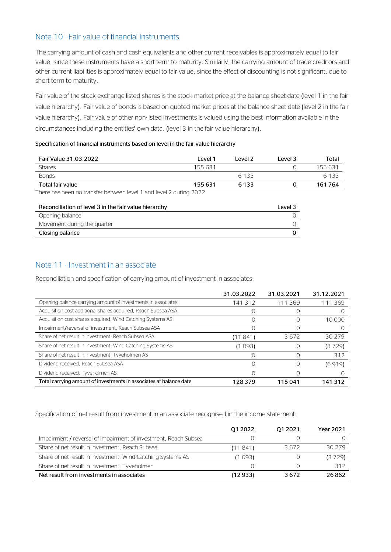## Note 10 - Fair value of financial instruments

The carrying amount of cash and cash equivalents and other current receivables is approximately equal to fair value, since these instruments have a short term to maturity. Similarly, the carrying amount of trade creditors and other current liabilities is approximately equal to fair value, since the effect of discounting is not significant, due to short term to maturity.

Fair value of the stock exchange-listed shares is the stock market price at the balance sheet date (level 1 in the fair value hierarchy). Fair value of bonds is based on quoted market prices at the balance sheet date (level 2 in the fair value hierarchy). Fair value of other non-listed investments is valued using the best information available in the circumstances including the entities' own data. (level 3 in the fair value hierarchy).

#### Specification of financial instruments based on level in the fair value hierarchy

| Fair Value 31.03.2022                                                                                   | Level 1 | l evel 2 | l evel 3 | Total   |
|---------------------------------------------------------------------------------------------------------|---------|----------|----------|---------|
| <b>Shares</b>                                                                                           | 155 631 |          |          | 155 631 |
| <b>Bonds</b>                                                                                            |         | 6 1 3 3  |          | 6 1 3 3 |
| Total fair value                                                                                        | 155 631 | 6 1 3 3  |          | 161764  |
| The case to be the case of a mode of case to be considered as the set $\cap$ at a factor $\cap\cap\cap$ |         |          |          |         |

There has been no transfer between level 1 and level 2 during 2022.

| Reconciliation of level 3 in the fair value hierarchy | Level 3 |
|-------------------------------------------------------|---------|
| Opening balance                                       |         |
| Movement during the quarter                           |         |
| Closing balance                                       |         |

# Note 11 - Investment in an associate

Reconciliation and specification of carrying amount of investment in associates:

|                                                                    | 31.03.2022 | 31.03.2021 | 31.12.2021 |
|--------------------------------------------------------------------|------------|------------|------------|
| Opening balance carrying amount of investments in associates       | 141312     | 111 369    | 111 369    |
| Acquisition cost additional shares acquired, Reach Subsea ASA      |            |            |            |
| Acquisition cost shares acquired, Wind Catching Systems AS         |            |            | 10 000     |
| Impairment/reversal of investment, Reach Subsea ASA                |            |            |            |
| Share of net result in investment, Reach Subsea ASA                | (11841)    | 3672       | 30 2 7 9   |
| Share of net result in investment, Wind Catching Systems AS        | (1 093)    |            | (3 729)    |
| Share of net result in investment, Tyveholmen AS                   |            |            | 312        |
| Dividend received, Reach Subsea ASA                                |            |            | (6919)     |
| Dividend received, Tyveholmen AS                                   |            |            |            |
| Total carrying amount of investments in associates at balance date | 128 379    | 115041     | 141 312    |

Specification of net result from investment in an associate recognised in the income statement:

|                                                                 | 01 2022 | 01 20 21 | <b>Year 2021</b> |
|-----------------------------------------------------------------|---------|----------|------------------|
| Impairment / reversal of impairment of investment, Reach Subsea |         |          |                  |
| Share of net result in investment, Reach Subsea                 | (11841) | 3672     | 30 279           |
| Share of net result in investment, Wind Catching Systems AS     | (1 093) |          | (3729)           |
| Share of net result in investment, Tyveholmen                   |         |          | 312              |
| Net result from investments in associates                       | (12933) | 3672     | 26.862           |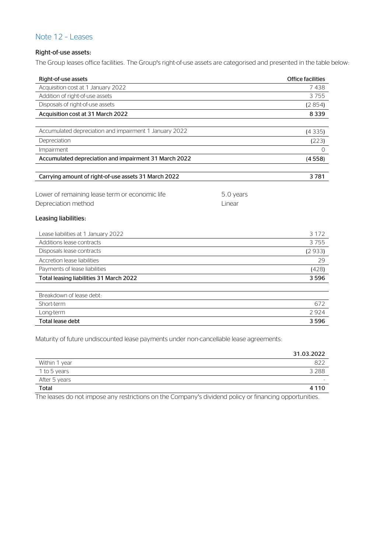## Note 12 – Leases

#### Right-of-use assets:

The Group leases office facilities. The Group's right-of-use assets are categorised and presented in the table below:

| Right-of-use assets                                                 |           | <b>Office facilities</b> |
|---------------------------------------------------------------------|-----------|--------------------------|
| Acquisition cost at 1 January 2022                                  |           | 7438                     |
| Addition of right-of-use assets                                     |           | 3755                     |
| Disposals of right-of-use assets                                    |           | (2854)                   |
| Acquisition cost at 31 March 2022                                   |           | 8339                     |
| Accumulated depreciation and impairment 1 January 2022              |           | (4335)                   |
| Depreciation                                                        |           | (223)                    |
|                                                                     |           | $\Omega$                 |
| Impairment<br>Accumulated depreciation and impairment 31 March 2022 |           |                          |
|                                                                     |           | (4558)                   |
| Carrying amount of right-of-use assets 31 March 2022                |           | 3781                     |
| Lower of remaining lease term or economic life                      | 5.0 years |                          |
| Depreciation method                                                 | Linear    |                          |
| Leasing liabilities:                                                |           |                          |
| Lease liabilities at 1 January 2022                                 |           | 3 1 7 2                  |
| Additions lease contracts                                           |           | 3755                     |
| Disposals lease contracts                                           |           | (2933)                   |
| Accretion lease liabilities                                         |           | 29                       |
| Payments of lease liabilities                                       |           | (428)                    |
| Total leasing liabilities 31 March 2022                             |           | 3596                     |
| Breakdown of lease debt:                                            |           |                          |
| Short-term                                                          |           | 672                      |
| Long-term                                                           |           | 2924                     |
| <b>Total lease debt</b>                                             |           | 3596                     |
|                                                                     |           |                          |

Maturity of future undiscounted lease payments under non-cancellable lease agreements:

|               | 31.03.2022 |
|---------------|------------|
| Within 1 year | 822        |
| 1 to 5 years  | 3 2 8 8    |
| After 5 years | -          |
| <b>Total</b>  | 4 1 1 0    |

The leases do not impose any restrictions on the Company's dividend policy or financing opportunities.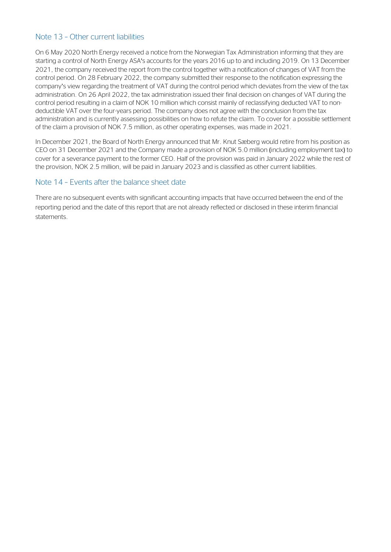## Note 13 – Other current liabilities

On 6 May 2020 North Energy received a notice from the Norwegian Tax Administration informing that they are starting a control of North Energy ASA's accounts for the years 2016 up to and including 2019. On 13 December 2021, the company received the report from the control together with a notification of changes of VAT from the control period. On 28 February 2022, the company submitted their response to the notification expressing the company's view regarding the treatment of VAT during the control period which deviates from the view of the tax administration. On 26 April 2022, the tax administration issued their final decision on changes of VAT during the control period resulting in a claim of NOK 10 million which consist mainly of reclassifying deducted VAT to nondeductible VAT over the four-years period. The company does not agree with the conclusion from the tax administration and is currently assessing possibilities on how to refute the claim. To cover for a possible settlement of the claim a provision of NOK 7.5 million, as other operating expenses, was made in 2021.

In December 2021, the Board of North Energy announced that Mr. Knut Sæberg would retire from his position as CEO on 31 December 2021 and the Company made a provision of NOK 5.0 million (including employment tax) to cover for a severance payment to the former CEO. Half of the provision was paid in January 2022 while the rest of the provision, NOK 2.5 million, will be paid in January 2023 and is classified as other current liabilities.

## Note 14 – Events after the balance sheet date

There are no subsequent events with significant accounting impacts that have occurred between the end of the reporting period and the date of this report that are not already reflected or disclosed in these interim financial statements.